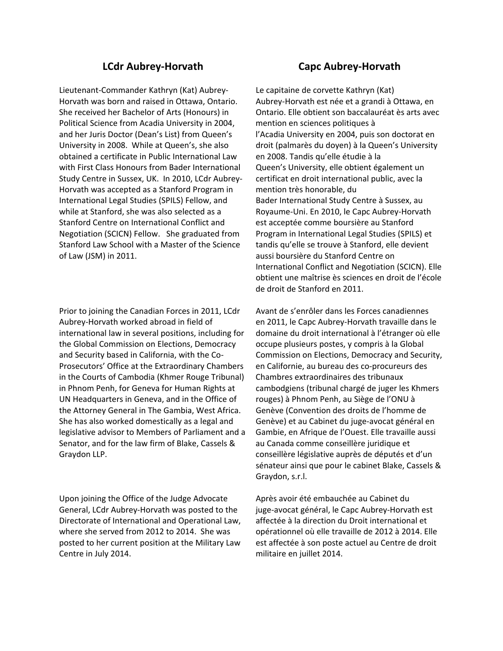# **LCdr Aubrey‐Horvath Capc Aubrey‐Horvath**

Lieutenant‐Commander Kathryn (Kat) Aubrey‐ Horvath was born and raised in Ottawa, Ontario. She received her Bachelor of Arts (Honours) in Political Science from Acadia University in 2004, and her Juris Doctor (Dean's List) from Queen's University in 2008. While at Queen's, she also obtained a certificate in Public International Law with First Class Honours from Bader International Study Centre in Sussex, UK. In 2010, LCdr Aubrey‐ Horvath was accepted as a Stanford Program in International Legal Studies (SPILS) Fellow, and while at Stanford, she was also selected as a Stanford Centre on International Conflict and Negotiation (SCICN) Fellow. She graduated from Stanford Law School with a Master of the Science of Law (JSM) in 2011.

Prior to joining the Canadian Forces in 2011, LCdr Aubrey‐Horvath worked abroad in field of international law in several positions, including for the Global Commission on Elections, Democracy and Security based in California, with the Co‐ Prosecutors' Office at the Extraordinary Chambers in the Courts of Cambodia (Khmer Rouge Tribunal) in Phnom Penh, for Geneva for Human Rights at UN Headquarters in Geneva, and in the Office of the Attorney General in The Gambia, West Africa. She has also worked domestically as a legal and legislative advisor to Members of Parliament and a Senator, and for the law firm of Blake, Cassels & Graydon LLP.

Upon joining the Office of the Judge Advocate General, LCdr Aubrey‐Horvath was posted to the Directorate of International and Operational Law, where she served from 2012 to 2014. She was posted to her current position at the Military Law Centre in July 2014.

Le capitaine de corvette Kathryn (Kat) Aubrey‐Horvath est née et a grandi à Ottawa, en Ontario. Elle obtient son baccalauréat ès arts avec mention en sciences politiques à l'Acadia University en 2004, puis son doctorat en droit (palmarès du doyen) à la Queen's University en 2008. Tandis qu'elle étudie à la Queen's University, elle obtient également un certificat en droit international public, avec la mention très honorable, du Bader International Study Centre à Sussex, au Royaume‐Uni. En 2010, le Capc Aubrey‐Horvath est acceptée comme boursière au Stanford Program in International Legal Studies (SPILS) et tandis qu'elle se trouve à Stanford, elle devient aussi boursière du Stanford Centre on International Conflict and Negotiation (SCICN). Elle obtient une maîtrise ès sciences en droit de l'école de droit de Stanford en 2011.

Avant de s'enrôler dans les Forces canadiennes en 2011, le Capc Aubrey‐Horvath travaille dans le domaine du droit international à l'étranger où elle occupe plusieurs postes, y compris à la Global Commission on Elections, Democracy and Security, en Californie, au bureau des co‐procureurs des Chambres extraordinaires des tribunaux cambodgiens (tribunal chargé de juger les Khmers rouges) à Phnom Penh, au Siège de l'ONU à Genève (Convention des droits de l'homme de Genève) et au Cabinet du juge‐avocat général en Gambie, en Afrique de l'Ouest. Elle travaille aussi au Canada comme conseillère juridique et conseillère législative auprès de députés et d'un sénateur ainsi que pour le cabinet Blake, Cassels & Graydon, s.r.l.

Après avoir été embauchée au Cabinet du juge‐avocat général, le Capc Aubrey‐Horvath est affectée à la direction du Droit international et opérationnel où elle travaille de 2012 à 2014. Elle est affectée à son poste actuel au Centre de droit militaire en juillet 2014.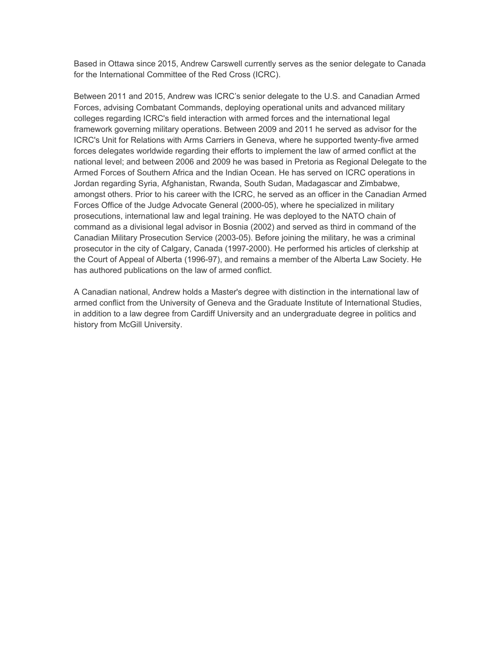Based in Ottawa since 2015, Andrew Carswell currently serves as the senior delegate to Canada for the International Committee of the Red Cross (ICRC).

Between 2011 and 2015, Andrew was ICRC's senior delegate to the U.S. and Canadian Armed Forces, advising Combatant Commands, deploying operational units and advanced military colleges regarding ICRC's field interaction with armed forces and the international legal framework governing military operations. Between 2009 and 2011 he served as advisor for the ICRC's Unit for Relations with Arms Carriers in Geneva, where he supported twenty-five armed forces delegates worldwide regarding their efforts to implement the law of armed conflict at the national level; and between 2006 and 2009 he was based in Pretoria as Regional Delegate to the Armed Forces of Southern Africa and the Indian Ocean. He has served on ICRC operations in Jordan regarding Syria, Afghanistan, Rwanda, South Sudan, Madagascar and Zimbabwe, amongst others. Prior to his career with the ICRC, he served as an officer in the Canadian Armed Forces Office of the Judge Advocate General (2000-05), where he specialized in military prosecutions, international law and legal training. He was deployed to the NATO chain of command as a divisional legal advisor in Bosnia (2002) and served as third in command of the Canadian Military Prosecution Service (2003-05). Before joining the military, he was a criminal prosecutor in the city of Calgary, Canada (1997-2000). He performed his articles of clerkship at the Court of Appeal of Alberta (1996-97), and remains a member of the Alberta Law Society. He has authored publications on the law of armed conflict.

A Canadian national, Andrew holds a Master's degree with distinction in the international law of armed conflict from the University of Geneva and the Graduate Institute of International Studies, in addition to a law degree from Cardiff University and an undergraduate degree in politics and history from McGill University.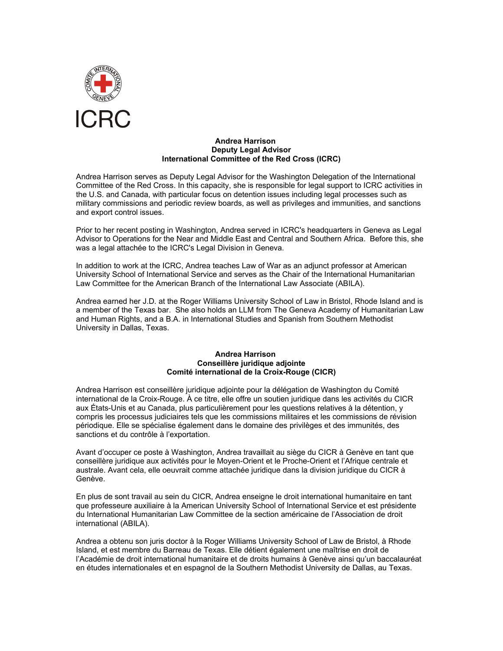

### **Andrea Harrison Deputy Legal Advisor International Committee of the Red Cross (ICRC)**

Andrea Harrison serves as Deputy Legal Advisor for the Washington Delegation of the International Committee of the Red Cross. In this capacity, she is responsible for legal support to ICRC activities in the U.S. and Canada, with particular focus on detention issues including legal processes such as military commissions and periodic review boards, as well as privileges and immunities, and sanctions and export control issues.

Prior to her recent posting in Washington, Andrea served in ICRC's headquarters in Geneva as Legal Advisor to Operations for the Near and Middle East and Central and Southern Africa. Before this, she was a legal attachée to the ICRC's Legal Division in Geneva.

In addition to work at the ICRC, Andrea teaches Law of War as an adjunct professor at American University School of International Service and serves as the Chair of the International Humanitarian Law Committee for the American Branch of the International Law Associate (ABILA).

Andrea earned her J.D. at the Roger Williams University School of Law in Bristol, Rhode Island and is a member of the Texas bar. She also holds an LLM from The Geneva Academy of Humanitarian Law and Human Rights, and a B.A. in International Studies and Spanish from Southern Methodist University in Dallas, Texas.

### **Andrea Harrison Conseillère juridique adjointe Comité international de la Croix-Rouge (CICR)**

Andrea Harrison est conseillère juridique adjointe pour la délégation de Washington du Comité international de la Croix-Rouge. À ce titre, elle offre un soutien juridique dans les activités du CICR aux États-Unis et au Canada, plus particulièrement pour les questions relatives à la détention, y compris les processus judiciaires tels que les commissions militaires et les commissions de révision périodique. Elle se spécialise également dans le domaine des privilèges et des immunités, des sanctions et du contrôle à l'exportation.

Avant d'occuper ce poste à Washington, Andrea travaillait au siège du CICR à Genève en tant que conseillère juridique aux activités pour le Moyen-Orient et le Proche-Orient et l'Afrique centrale et australe. Avant cela, elle oeuvrait comme attachée juridique dans la division juridique du CICR à Genève.

En plus de sont travail au sein du CICR, Andrea enseigne le droit international humanitaire en tant que professeure auxiliaire à la American University School of International Service et est présidente du International Humanitarian Law Committee de la section américaine de l'Association de droit international (ABILA).

Andrea a obtenu son juris doctor à la Roger Williams University School of Law de Bristol, à Rhode Island, et est membre du Barreau de Texas. Elle détient également une maîtrise en droit de l'Académie de droit international humanitaire et de droits humains à Genève ainsi qu'un baccalauréat en études internationales et en espagnol de la Southern Methodist University de Dallas, au Texas.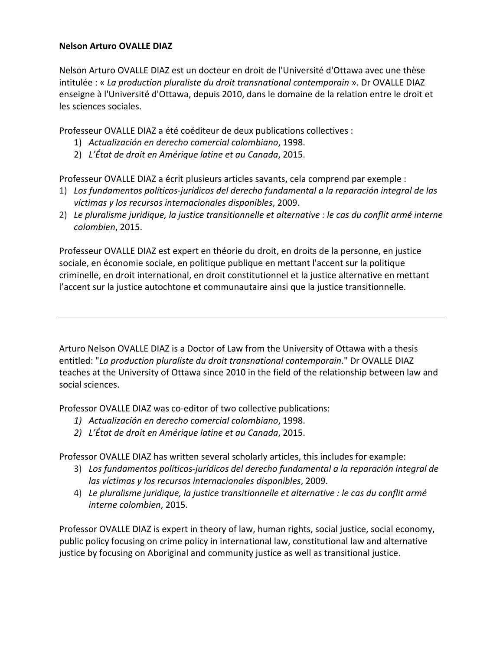# **Nelson Arturo OVALLE DIAZ**

Nelson Arturo OVALLE DIAZ est un docteur en droit de l'Université d'Ottawa avec une thèse intitulée : « *La production pluraliste du droit transnational contemporain* ». Dr OVALLE DIAZ enseigne à l'Université d'Ottawa, depuis 2010, dans le domaine de la relation entre le droit et les sciences sociales.

Professeur OVALLE DIAZ a été coéditeur de deux publications collectives :

- 1) *Actualización en derecho comercial colombiano*, 1998.
- 2) *L'État de droit en Amérique latine et au Canada*, 2015.

Professeur OVALLE DIAZ a écrit plusieurs articles savants, cela comprend par exemple :

- 1) *Los fundamentos políticos‐jurídicos del derecho fundamental a la reparación integral de las víctimas y los recursos internacionales disponibles*, 2009.
- 2) *Le pluralisme juridique, la justice transitionnelle et alternative : le cas du conflit armé interne colombien*, 2015.

Professeur OVALLE DIAZ est expert en théorie du droit, en droits de la personne, en justice sociale, en économie sociale, en politique publique en mettant l'accent sur la politique criminelle, en droit international, en droit constitutionnel et la justice alternative en mettant l'accent sur la justice autochtone et communautaire ainsi que la justice transitionnelle.

Arturo Nelson OVALLE DIAZ is a Doctor of Law from the University of Ottawa with a thesis entitled: "*La production pluraliste du droit transnational contemporain*." Dr OVALLE DIAZ teaches at the University of Ottawa since 2010 in the field of the relationship between law and social sciences.

Professor OVALLE DIAZ was co-editor of two collective publications:

- *1) Actualización en derecho comercial colombiano*, 1998.
- *2) L'État de droit en Amérique latine et au Canada*, 2015.

Professor OVALLE DIAZ has written several scholarly articles, this includes for example:

- 3) *Los fundamentos políticos‐jurídicos del derecho fundamental a la reparación integral de las víctimas y los recursos internacionales disponibles*, 2009.
- 4) *Le pluralisme juridique, la justice transitionnelle et alternative : le cas du conflit armé interne colombien*, 2015.

Professor OVALLE DIAZ is expert in theory of law, human rights, social justice, social economy, public policy focusing on crime policy in international law, constitutional law and alternative justice by focusing on Aboriginal and community justice as well as transitional justice.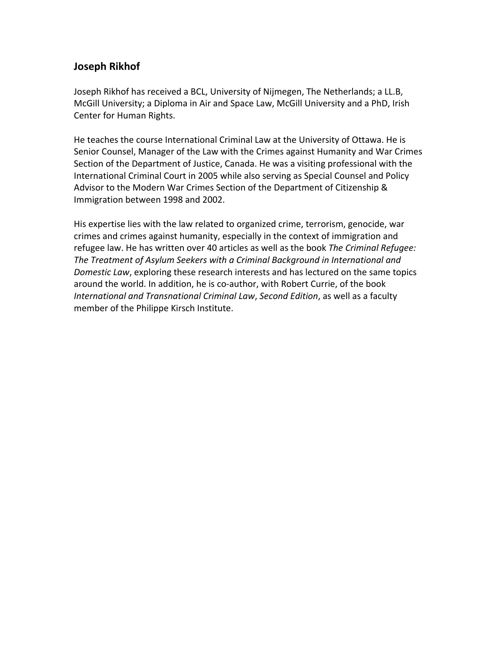# **Joseph Rikhof**

Joseph Rikhof has received a BCL, University of Nijmegen, The Netherlands; a LL.B, McGill University; a Diploma in Air and Space Law, McGill University and a PhD, Irish Center for Human Rights.

He teaches the course International Criminal Law at the University of Ottawa. He is Senior Counsel, Manager of the Law with the Crimes against Humanity and War Crimes Section of the Department of Justice, Canada. He was a visiting professional with the International Criminal Court in 2005 while also serving as Special Counsel and Policy Advisor to the Modern War Crimes Section of the Department of Citizenship & Immigration between 1998 and 2002.

His expertise lies with the law related to organized crime, terrorism, genocide, war crimes and crimes against humanity, especially in the context of immigration and refugee law. He has written over 40 articles as well as the book *The Criminal Refugee: The Treatment of Asylum Seekers with a Criminal Background in International and Domestic Law*, exploring these research interests and has lectured on the same topics around the world. In addition, he is co‐author, with Robert Currie, of the book *International and Transnational Criminal Law*, *Second Edition*, as well as a faculty member of the Philippe Kirsch Institute.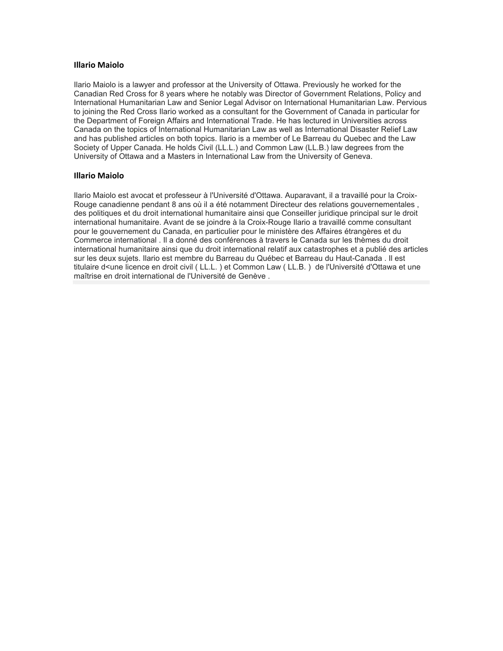### **Illario Maiolo**

Ilario Maiolo is a lawyer and professor at the University of Ottawa. Previously he worked for the Canadian Red Cross for 8 years where he notably was Director of Government Relations, Policy and International Humanitarian Law and Senior Legal Advisor on International Humanitarian Law. Pervious to joining the Red Cross Ilario worked as a consultant for the Government of Canada in particular for the Department of Foreign Affairs and International Trade. He has lectured in Universities across Canada on the topics of International Humanitarian Law as well as International Disaster Relief Law and has published articles on both topics. Ilario is a member of Le Barreau du Quebec and the Law Society of Upper Canada. He holds Civil (LL.L.) and Common Law (LL.B.) law degrees from the University of Ottawa and a Masters in International Law from the University of Geneva.

### **Illario Maiolo**

Ilario Maiolo est avocat et professeur à l'Université d'Ottawa. Auparavant, il a travaillé pour la Croix-Rouge canadienne pendant 8 ans où il a été notamment Directeur des relations gouvernementales , des politiques et du droit international humanitaire ainsi que Conseiller juridique principal sur le droit international humanitaire. Avant de se joindre à la Croix-Rouge Ilario a travaillé comme consultant pour le gouvernement du Canada, en particulier pour le ministère des Affaires étrangères et du Commerce international . Il a donné des conférences à travers le Canada sur les thèmes du droit international humanitaire ainsi que du droit international relatif aux catastrophes et a publié des articles sur les deux sujets. Ilario est membre du Barreau du Québec et Barreau du Haut-Canada . Il est titulaire d<une licence en droit civil ( LL.L. ) et Common Law ( LL.B. ) de l'Université d'Ottawa et une maîtrise en droit international de l'Université de Genève .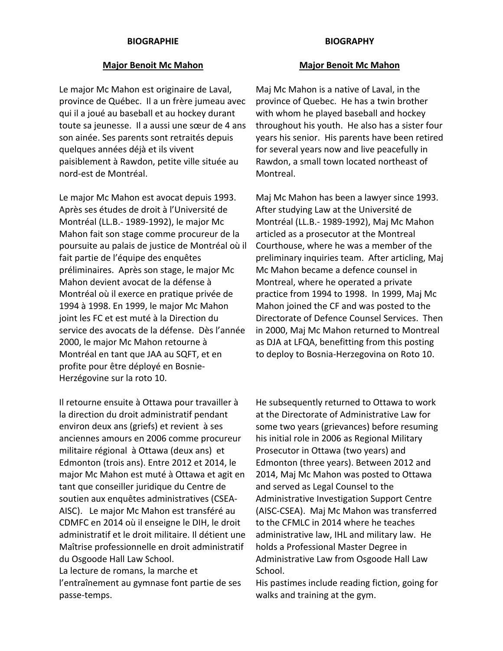## **BIOGRAPHIE BIOGRAPHY**

## **Major Benoit Mc Mahon Major Benoit Mc Mahon**

Le major Mc Mahon est originaire de Laval, province de Québec. Il a un frère jumeau avec qui il a joué au baseball et au hockey durant toute sa jeunesse. Il a aussi une sœur de 4 ans son ainée. Ses parents sont retraités depuis quelques années déjà et ils vivent paisiblement à Rawdon, petite ville située au nord‐est de Montréal.

Le major Mc Mahon est avocat depuis 1993. Après ses études de droit à l'Université de Montréal (LL.B.‐ 1989‐1992), le major Mc Mahon fait son stage comme procureur de la poursuite au palais de justice de Montréal où il fait partie de l'équipe des enquêtes préliminaires. Après son stage, le major Mc Mahon devient avocat de la défense à Montréal où il exerce en pratique privée de 1994 à 1998. En 1999, le major Mc Mahon joint les FC et est muté à la Direction du service des avocats de la défense. Dès l'année 2000, le major Mc Mahon retourne à Montréal en tant que JAA au SQFT, et en profite pour être déployé en Bosnie‐ Herzégovine sur la roto 10.

Il retourne ensuite à Ottawa pour travailler à la direction du droit administratif pendant environ deux ans (griefs) et revient à ses anciennes amours en 2006 comme procureur militaire régional à Ottawa (deux ans) et Edmonton (trois ans). Entre 2012 et 2014, le major Mc Mahon est muté à Ottawa et agit en tant que conseiller juridique du Centre de soutien aux enquêtes administratives (CSEA‐ AISC). Le major Mc Mahon est transféré au CDMFC en 2014 où il enseigne le DIH, le droit administratif et le droit militaire. Il détient une Maîtrise professionnelle en droit administratif du Osgoode Hall Law School.

La lecture de romans, la marche et l'entraînement au gymnase font partie de ses passe‐temps.

Maj Mc Mahon is a native of Laval, in the province of Quebec. He has a twin brother with whom he played baseball and hockey throughout his youth. He also has a sister four years his senior. His parents have been retired for several years now and live peacefully in Rawdon, a small town located northeast of Montreal.

Maj Mc Mahon has been a lawyer since 1993. After studying Law at the Université de Montréal (LL.B.‐ 1989‐1992), Maj Mc Mahon articled as a prosecutor at the Montreal Courthouse, where he was a member of the preliminary inquiries team. After articling, Maj Mc Mahon became a defence counsel in Montreal, where he operated a private practice from 1994 to 1998. In 1999, Maj Mc Mahon joined the CF and was posted to the Directorate of Defence Counsel Services. Then in 2000, Maj Mc Mahon returned to Montreal as DJA at LFQA, benefitting from this posting to deploy to Bosnia‐Herzegovina on Roto 10.

He subsequently returned to Ottawa to work at the Directorate of Administrative Law for some two years (grievances) before resuming his initial role in 2006 as Regional Military Prosecutor in Ottawa (two years) and Edmonton (three years). Between 2012 and 2014, Maj Mc Mahon was posted to Ottawa and served as Legal Counsel to the Administrative Investigation Support Centre (AISC‐CSEA). Maj Mc Mahon was transferred to the CFMLC in 2014 where he teaches administrative law, IHL and military law. He holds a Professional Master Degree in Administrative Law from Osgoode Hall Law School.

His pastimes include reading fiction, going for walks and training at the gym.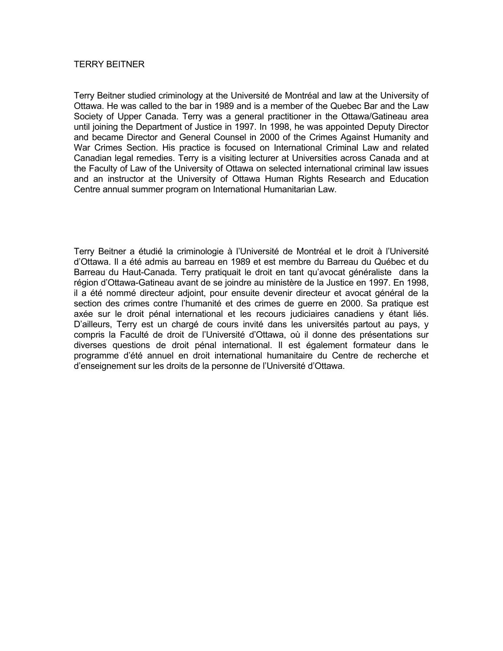## TERRY BEITNER

Terry Beitner studied criminology at the Université de Montréal and law at the University of Ottawa. He was called to the bar in 1989 and is a member of the Quebec Bar and the Law Society of Upper Canada. Terry was a general practitioner in the Ottawa/Gatineau area until joining the Department of Justice in 1997. In 1998, he was appointed Deputy Director and became Director and General Counsel in 2000 of the Crimes Against Humanity and War Crimes Section. His practice is focused on International Criminal Law and related Canadian legal remedies. Terry is a visiting lecturer at Universities across Canada and at the Faculty of Law of the University of Ottawa on selected international criminal law issues and an instructor at the University of Ottawa Human Rights Research and Education Centre annual summer program on International Humanitarian Law.

Terry Beitner a étudié la criminologie à l'Université de Montréal et le droit à l'Université d'Ottawa. Il a été admis au barreau en 1989 et est membre du Barreau du Québec et du Barreau du Haut-Canada. Terry pratiquait le droit en tant qu'avocat généraliste dans la région d'Ottawa-Gatineau avant de se joindre au ministère de la Justice en 1997. En 1998, il a été nommé directeur adjoint, pour ensuite devenir directeur et avocat général de la section des crimes contre l'humanité et des crimes de guerre en 2000. Sa pratique est axée sur le droit pénal international et les recours judiciaires canadiens y étant liés. D'ailleurs, Terry est un chargé de cours invité dans les universités partout au pays, y compris la Faculté de droit de l'Université d'Ottawa, où il donne des présentations sur diverses questions de droit pénal international. Il est également formateur dans le programme d'été annuel en droit international humanitaire du Centre de recherche et d'enseignement sur les droits de la personne de l'Université d'Ottawa.